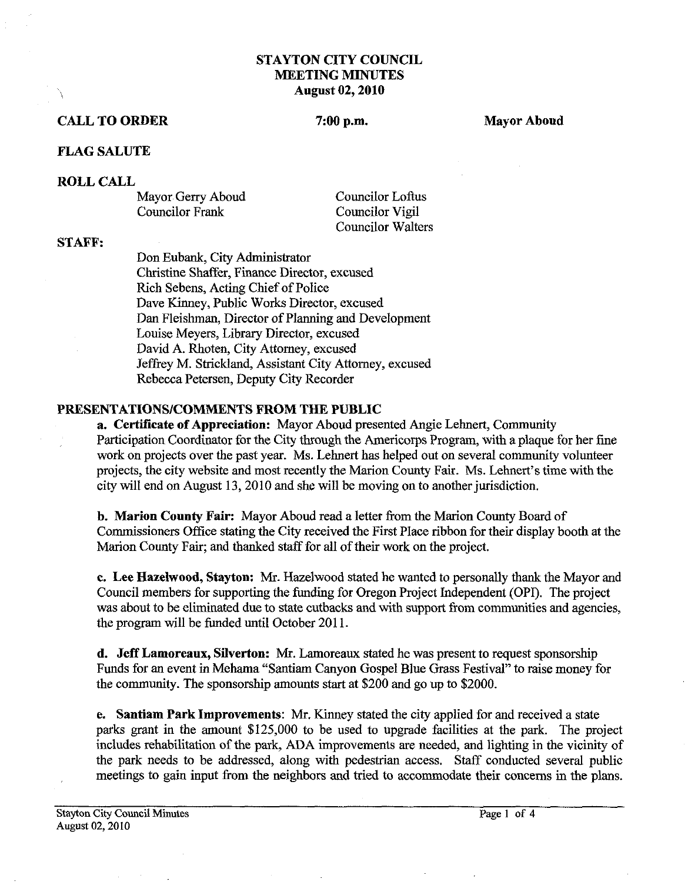## **STAYTON CITY COUNCIL MEETING MINUTES August 02,2010**

## **CALL TO ORDER** 2.00 p.m. Mayor Aboud **Mayor Aboud**

## **FLAG SALUTE**

### **ROLL CALL**

Mayor Gerry Aboud Councilor Loftus<br>
Councilor Frank Councilor Vigil

Councilor Vigil Councilor Walters

#### **ST AFP:**

Don Eubank, City Administrator Christine Shaffer, Finance Director, excused Rich Sebens, Acting Chief of Police Dave Kinney, Public Works Director, excused Dan Fleishman, Director of Planning and Development Louise Meyers, Library Director, excused David A. Rhoten, City Attorney, excused Jeffrey M. Strickland, Assistant City Attorney, excused Rebecca Petersen, Deputy City Recorder

# **PRESENTATIONSICOMMENTS FROM THE PUBLIC**

**a. Certificate of Appreciation:** Mayor Aboud presented Angie Lehnert, Community Participation Coordinator for the City through the Americorps Program, with a plaque for her fine work on projects over the past year. Ms. Lehnert has helped out on several community volunteer projects, the city website and most recently the Marion County Fair. Ms. Lehnert's time with the city will end on August 13,2010 and she will be moving on to another jurisdiction.

**b. Marion County Fair:** Mayor Aboud read a letter from the Marion County Board of Commissioners Office stating the City received the First Place ribbon for their display booth at the Marion County Fair, and thanked staff for all of their work on the project.

**c. Lee Hazelwood, Stayton: Mr.** Hazelwood stated he wanted to personally thank the Mayor and Council members for supporting the funding for Oregon Project Independent (OPI). The project was about to be eliminated due to state cutbacks and with support from communities and agencies, the program will be funded until October 2011.

**d. Jeff Lamoreaux, Silverton: Mr.** Lamoreaux stated he was present to request sponsorship Funds for an event in Mehama "Santiam Canyon Gospel Blue **Grass** Festival" to raise money for the community. The sponsorship amounts start at \$200 and go up to \$2000.

**e.** Santiam Park Improvements: Mr. Kinney stated the city applied for and received a state parks grant in the amount \$125,000 to be used to upgrade facilities at the park. The project includes rehabilitation of the park, ADA improvements are needed, and lighting in the vicinity of the park needs to be addressed, along with pedestrian access. Staff conducted several public meetings to gain input fiom the neighbors and tried to accommodate their concerns in the plans.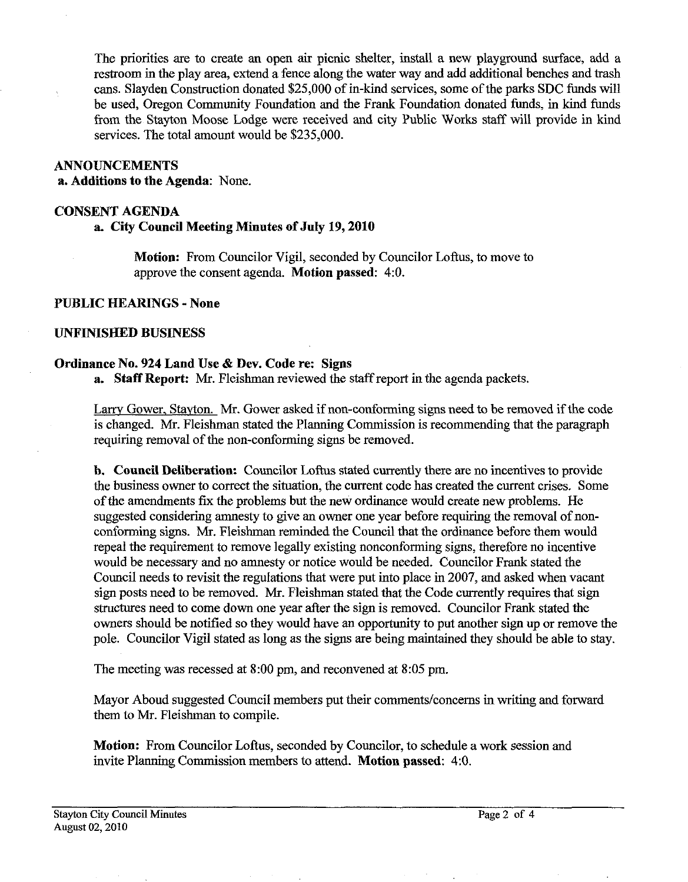The priorities are to create an open air picnic shelter, install a new playground surface, add a restroom in the play area, extend a fence along the water way and add additional benches and trash cans. Slayden Construction donated **\$25,000** of in-kid services, some of the parks **SDC** funds will be used, Oregon Community Foundation and the Frank Foundation donated funds, in kind funds from the Stayton Moose Lodge were received and city Public Works staff will provide in kind services. The total amount would be **\$235,000.** 

#### **ANNOUNCEMENTS**

**a. Additions to the Agenda:** None.

#### **CONSENT AGENDA**

## **a City Council Meeting Minutes of July 19,2010**

**Motion:** From Councilor Vigil, seconded by Councilor Loftus, to move to approve the consent agenda. **Motion passed: 4:O.** 

# **PUBLIC HEARINGS** - **None**

#### **UNFINISHED BUSINESS**

#### **Ordinance No. 924 Land Use** & **Dev. Code re: Signs**

**a. Staff Report: Mr.** Fleishman reviewed the staff report in the agenda packets.

Larrv Gower, Stayton. Mr. Gower asked if non-conforming signs need to be removed if the code is changed. Mr. Fleishman stated the Planning Commission is recommending that the paragraph requiring removal of the non-conforming signs be removed.

**b. Council Deliberation:** Councilor Loftus stated currently there are no incentives to provide the business owner to correct the situation, the current code has created the current crises. Some of the amendments fix the problems but the new ordinance would create new problems. He suggested considering amnesty to give an owner one year before requiring the removal of nonconforming signs. Mr. Fleishman reminded the Council that the ordinance before them would repeal the requirement to remove legally existing nonconforming signs, therefore no incentive would be necessary and no amnesty or notice would be needed. Councilor Frank stated the Council needs to revisit the regulations that were put into place in **2007,** and asked when vacant sign posts need to be removed. Mr. Fleishman stated that the Code currently requires that sign structures need to come down one year after the sign is removed. Councilor Frank stated the owners should be notified so they would have an opportunity to put another sign up or remove the pole. Councilor Vigil stated as long as the signs are being maintained they should be able to stay.

The meeting was recessed at **8:00** pm, and reconvened at **8:05** pm.

Mayor Aboud suggested Council members put their comments/concerns in writing and forward them to Mr. Fleishman to compile.

**Motion:** From Councilor Loftus, seconded by Councilor, to schedule a work session and invite Planning Commission members to attend. **Motion passed:** 4:O.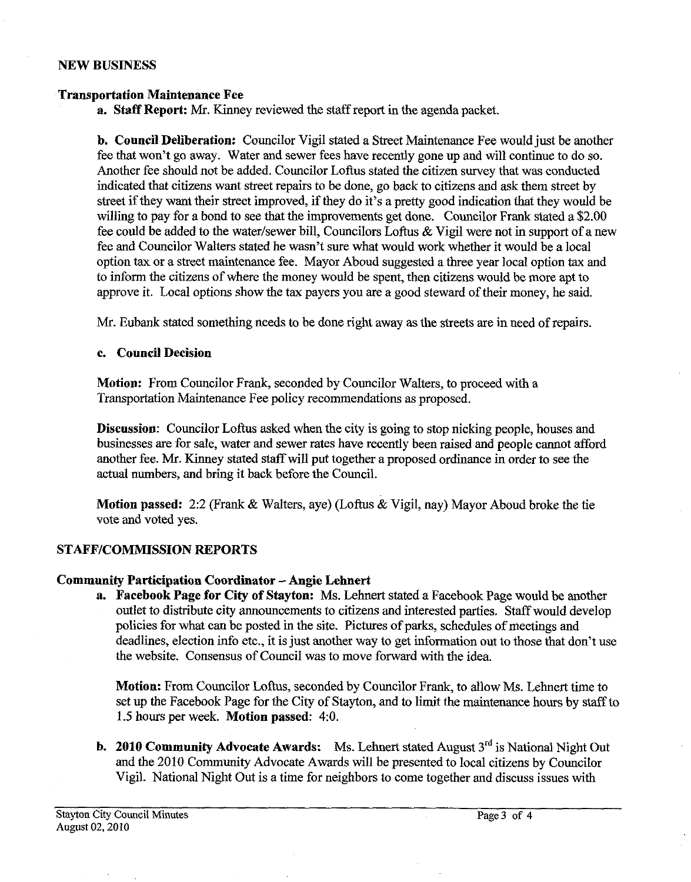#### **NEW BUSINESS**

#### **Transportation Maintenance Fee**

**a. Staff Report: Mr.** Kinney reviewed the staff report in the agenda packet.

**b. Council Deliberation:** Councilor Vigil stated a Street Maintenance Fee would just be another fee that won't go away. Water and sewer fees have recently gone up and will continue to do so. Another fee should not be added. Councilor Loftus stated the citizen survey that was conducted indicated that citizens want street repairs to be done, go back to citizens and ask them street by street if they want their street improved, if they do it's a pretty good indication that they would be willing to pay for a bond to see that the improvements get done. Councilor Frank stated a \$2.00 fee could be added to the water/sewer bill, Councilors Loftus  $\&$  Vigil were not in support of a new fee and Councilor Walters stated he wasn't sure what would work whether it would be a local option tax or a street maintenance fee. Mayor Aboud suggested a three year local option tax and to inform the citizens of where the money would be spent, then citizens would be more apt to approve it. Local options show the tax payers you are a good steward of their money, he said.

Mr. Eubank stated something needs to be done right away as the streets are in need of repairs.

### **c. Council Decision**

**Motion:** From Councilor Frank, seconded by Councilor Walters, to proceed with a Transportation Maintenance Fee policy recommendations as proposed.

**Discussion:** Councilor Loftus asked when the city is going to stop nicking people, houses and businesses are for sale, water and sewer rates have recently been raised and people cannot afford another fee. Mr. Kinney stated staff will put together a proposed ordinance in order to see the actual numbers, and bring it back before the Council.

**Motion passed:** 2:2 (Frank & Walters, aye) (Loftus & Vigil, nay) Mayor Aboud broke the tie vote and voted yes.

## **STAFF/COMMISSION REPORTS**

## **Community Participation Coordinator** - **Angie Lehnert**

**a. Facebook Page for City of Stayton:** Ms. Lehnert stated a Facebook Page would be another outlet to distribute city announcements to citizens and interested parties. Staff would develop policies for what can be posted in the site. Pictures of parks, schedules of meetings and deadlines, election info etc., it is just another way to get information out to those that don't use the website. Consensus of Council was to move forward with the idea.

**Motion:** From Councilor Loftus, seconded by Councilor Frank, to allow Ms. Lehnert time to set up the Facebook Page for the City of Stayton, and to limit the maintenance hours by staff to 1.5 hours per week. **Motion passed: 4:O.** 

**b. 2010 Community Advocate Awards:** Ms. Lehnert stated August 3<sup>rd</sup> is National Night Out and the 2010 Community Advocate Awards will be presented to local citizens by Councilor Vigil. National Night Out is a time for neighbors to come together and discuss issues with

**Stayton City** Council **Minutes Page 3** of **4 August 02,2010**